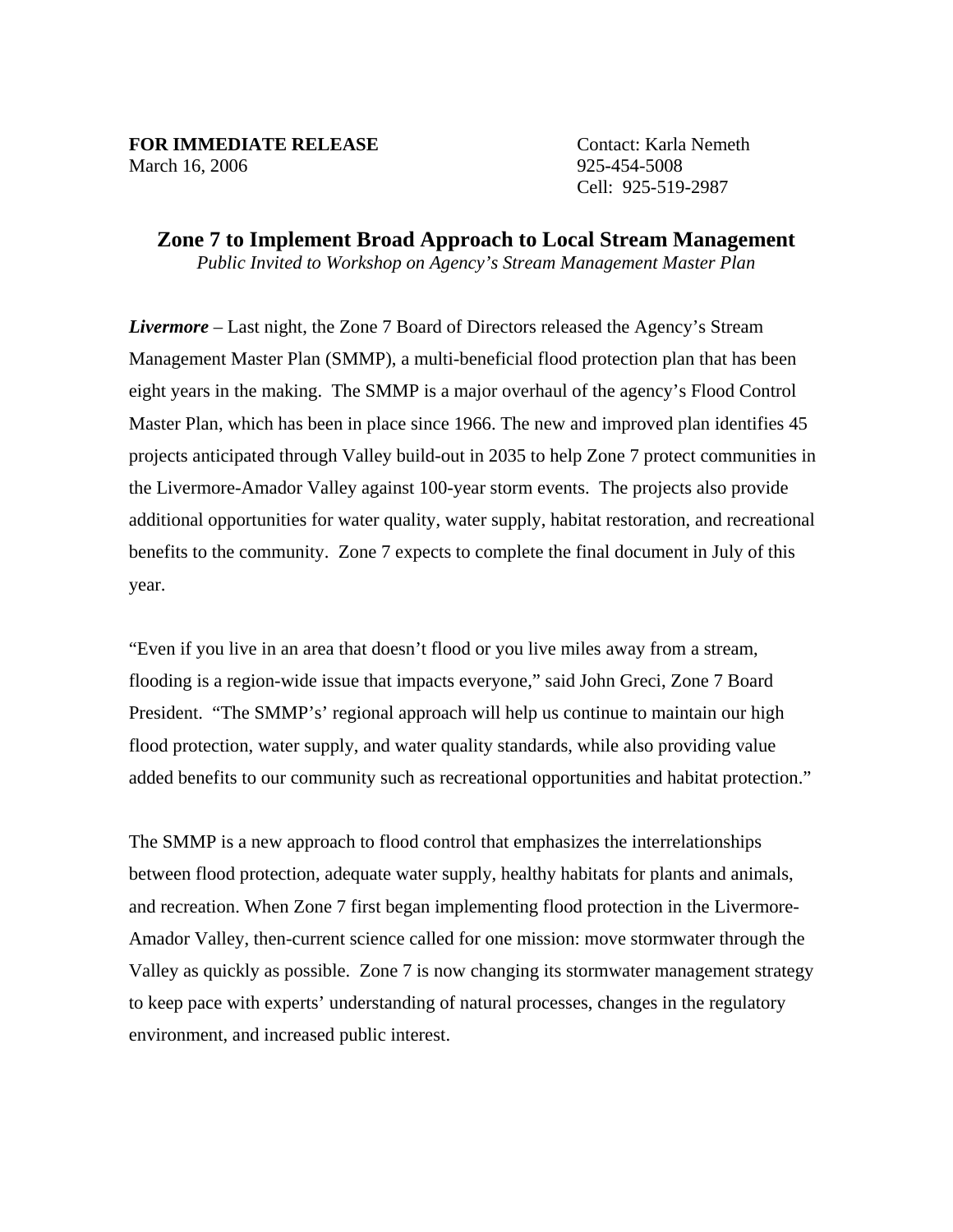## **FOR IMMEDIATE RELEASE** Contact: Karla Nemeth

March 16, 2006 925-454-5008 Cell: 925-519-2987

**Zone 7 to Implement Broad Approach to Local Stream Management**  *Public Invited to Workshop on Agency's Stream Management Master Plan* 

*Livermore* – Last night, the Zone 7 Board of Directors released the Agency's Stream Management Master Plan (SMMP), a multi-beneficial flood protection plan that has been eight years in the making. The SMMP is a major overhaul of the agency's Flood Control Master Plan, which has been in place since 1966. The new and improved plan identifies 45 projects anticipated through Valley build-out in 2035 to help Zone 7 protect communities in the Livermore-Amador Valley against 100-year storm events. The projects also provide additional opportunities for water quality, water supply, habitat restoration, and recreational benefits to the community. Zone 7 expects to complete the final document in July of this year.

"Even if you live in an area that doesn't flood or you live miles away from a stream, flooding is a region-wide issue that impacts everyone," said John Greci, Zone 7 Board President. "The SMMP's' regional approach will help us continue to maintain our high flood protection, water supply, and water quality standards, while also providing value added benefits to our community such as recreational opportunities and habitat protection."

The SMMP is a new approach to flood control that emphasizes the interrelationships between flood protection, adequate water supply, healthy habitats for plants and animals, and recreation. When Zone 7 first began implementing flood protection in the Livermore-Amador Valley, then-current science called for one mission: move stormwater through the Valley as quickly as possible. Zone 7 is now changing its stormwater management strategy to keep pace with experts' understanding of natural processes, changes in the regulatory environment, and increased public interest.